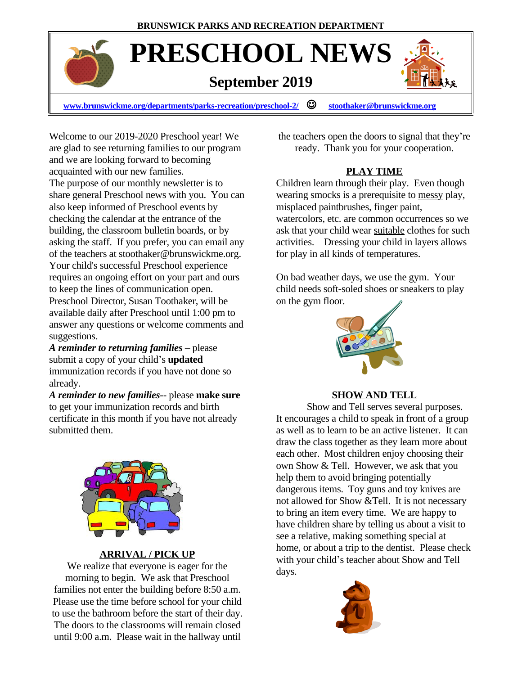# **PRESCHOOL NEWS**

# **September 2019**



**[www.brunswickme.org/departments/parks-recreation/preschool-2/](http://www.brunswickme.org/departments/parks-recreation/preschool-2/)** J **[stoothaker@brunswickme.org](mailto:stoothaker@brunswickme.org)**

Welcome to our 2019-2020 Preschool year! We are glad to see returning families to our program and we are looking forward to becoming acquainted with our new families. The purpose of our monthly newsletter is to share general Preschool news with you. You can also keep informed of Preschool events by checking the calendar at the entrance of the building, the classroom bulletin boards, or by asking the staff. If you prefer, you can email any of the teachers at stoothaker@brunswickme.org. Your child's successful Preschool experience requires an ongoing effort on your part and ours to keep the lines of communication open. Preschool Director, Susan Toothaker, will be available daily after Preschool until 1:00 pm to answer any questions or welcome comments and suggestions.

*A reminder to returning families* – please submit a copy of your child's **updated** immunization records if you have not done so already.

*A reminder to new families--* please **make sure** to get your immunization records and birth certificate in this month if you have not already submitted them.



#### **ARRIVAL / PICK UP**

We realize that everyone is eager for the morning to begin. We ask that Preschool families not enter the building before 8:50 a.m. Please use the time before school for your child to use the bathroom before the start of their day. The doors to the classrooms will remain closed until 9:00 a.m. Please wait in the hallway until

the teachers open the doors to signal that they're ready. Thank you for your cooperation.

#### **PLAY TIME**

Children learn through their play. Even though wearing smocks is a prerequisite to messy play, misplaced paintbrushes, finger paint, watercolors, etc. are common occurrences so we ask that your child wear suitable clothes for such activities. Dressing your child in layers allows for play in all kinds of temperatures.

On bad weather days, we use the gym. Your child needs soft-soled shoes or sneakers to play on the gym floor.



#### **SHOW AND TELL**

Show and Tell serves several purposes. It encourages a child to speak in front of a group as well as to learn to be an active listener. It can draw the class together as they learn more about each other. Most children enjoy choosing their own Show & Tell. However, we ask that you help them to avoid bringing potentially dangerous items. Toy guns and toy knives are not allowed for Show &Tell. It is not necessary to bring an item every time. We are happy to have children share by telling us about a visit to see a relative, making something special at home, or about a trip to the dentist. Please check with your child's teacher about Show and Tell days.

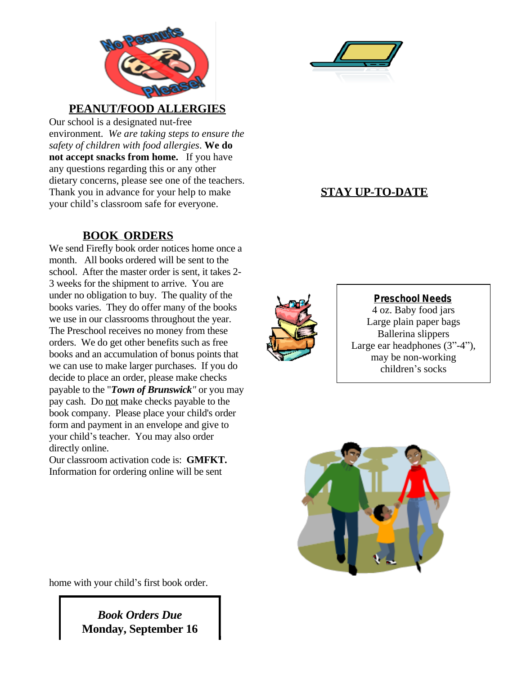



#### **PEANUT/FOOD ALLERGIES**

Our school is a designated nut-free environment. *We are taking steps to ensure the safety of children with food allergies*. **We do not accept snacks from home.** If you have any questions regarding this or any other dietary concerns, please see one of the teachers. Thank you in advance for your help to make your child's classroom safe for everyone.

## **BOOK ORDERS**

We send Firefly book order notices home once a month. All books ordered will be sent to the school. After the master order is sent, it takes 2- 3 weeks for the shipment to arrive. You are under no obligation to buy. The quality of the books varies. They do offer many of the books we use in our classrooms throughout the year. The Preschool receives no money from these orders. We do get other benefits such as free books and an accumulation of bonus points that we can use to make larger purchases. If you do decide to place an order, please make checks payable to the "*Town of Brunswick"* or you may pay cash. Do not make checks payable to the book company. Please place your child's order form and payment in an envelope and give to your child's teacher. You may also order directly online.

Our classroom activation code is: **GMFKT.** Information for ordering online will be sent



**STAY UP-TO-DATE**



#### **Preschool Needs**

4 oz. Baby food jars Large plain paper bags Ballerina slippers Large ear headphones (3"-4"), may be non-working children's socks



home with your child's first book order.

*Book Orders Due* **Monday, September 16**